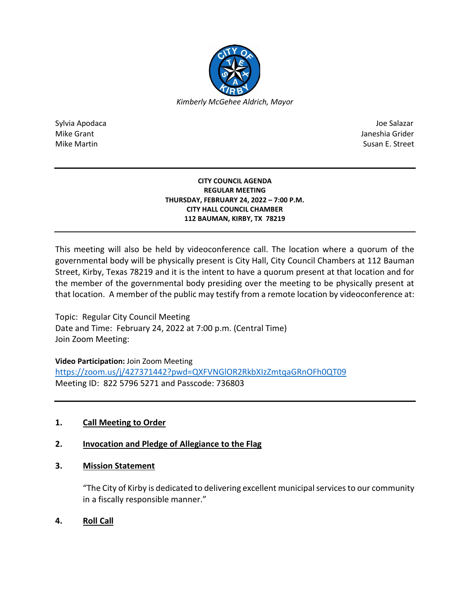

Sylvia Apodaca Joe Salazar Joe Salazar Joe Salazar Joe Salazar Joe Salazar Joe Salazar Joe Salazar Joe Salazar Mike Grant **Janeshia Grider** Janeshia Grider **Janeshia Grider** Janeshia Grider Janeshia Grider Mike Martin Susan E. Street

#### **CITY COUNCIL AGENDA REGULAR MEETING THURSDAY, FEBRUARY 24, 2022 – 7:00 P.M. CITY HALL COUNCIL CHAMBER 112 BAUMAN, KIRBY, TX 78219**

This meeting will also be held by videoconference call. The location where a quorum of the governmental body will be physically present is City Hall, City Council Chambers at 112 Bauman Street, Kirby, Texas 78219 and it is the intent to have a quorum present at that location and for the member of the governmental body presiding over the meeting to be physically present at that location. A member of the public may testify from a remote location by videoconference at:

Topic: Regular City Council Meeting Date and Time: February 24, 2022 at 7:00 p.m. (Central Time) Join Zoom Meeting:

**Video Participation:** Join Zoom Meeting

<https://zoom.us/j/427371442?pwd=QXFVNGlOR2RkbXIzZmtqaGRnOFh0QT09> Meeting ID: 822 5796 5271 and Passcode: 736803

# **1. Call Meeting to Order**

# **2. Invocation and Pledge of Allegiance to the Flag**

## **3. Mission Statement**

"The City of Kirby is dedicated to delivering excellent municipal services to our community in a fiscally responsible manner."

**4. Roll Call**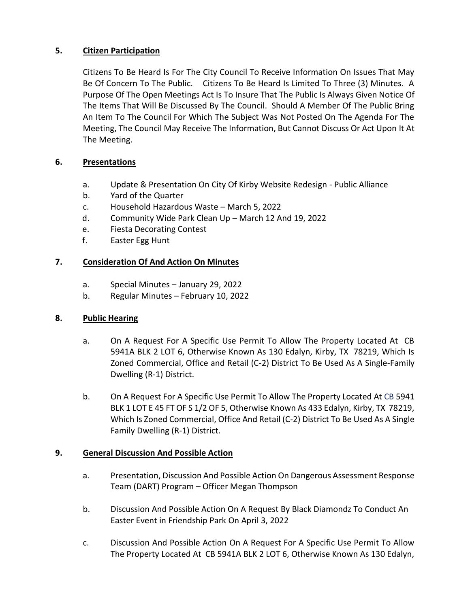## **5. Citizen Participation**

Citizens To Be Heard Is For The City Council To Receive Information On Issues That May Be Of Concern To The Public. Citizens To Be Heard Is Limited To Three (3) Minutes. A Purpose Of The Open Meetings Act Is To Insure That The Public Is Always Given Notice Of The Items That Will Be Discussed By The Council. Should A Member Of The Public Bring An Item To The Council For Which The Subject Was Not Posted On The Agenda For The Meeting, The Council May Receive The Information, But Cannot Discuss Or Act Upon It At The Meeting.

## **6. Presentations**

- a. Update & Presentation On City Of Kirby Website Redesign Public Alliance
- b. Yard of the Quarter
- c. Household Hazardous Waste March 5, 2022
- d. Community Wide Park Clean Up March 12 And 19, 2022
- e. Fiesta Decorating Contest
- f. Easter Egg Hunt

## **7. Consideration Of And Action On Minutes**

- a. Special Minutes January 29, 2022
- b. Regular Minutes February 10, 2022

## **8. Public Hearing**

- a. On A Request For A Specific Use Permit To Allow The Property Located At CB 5941A BLK 2 LOT 6, Otherwise Known As 130 Edalyn, Kirby, TX 78219, Which Is Zoned Commercial, Office and Retail (C-2) District To Be Used As A Single-Family Dwelling (R-1) District.
- b. On A Request For A Specific Use Permit To Allow The Property Located At CB 5941 BLK 1 LOT E 45 FT OF S 1/2 OF 5, Otherwise Known As 433 Edalyn, Kirby, TX 78219, Which Is Zoned Commercial, Office And Retail (C-2) District To Be Used As A Single Family Dwelling (R-1) District.

## **9. General Discussion And Possible Action**

- a. Presentation, Discussion And Possible Action On Dangerous Assessment Response Team (DART) Program – Officer Megan Thompson
- b. Discussion And Possible Action On A Request By Black Diamondz To Conduct An Easter Event in Friendship Park On April 3, 2022
- c. Discussion And Possible Action On A Request For A Specific Use Permit To Allow The Property Located At CB 5941A BLK 2 LOT 6, Otherwise Known As 130 Edalyn,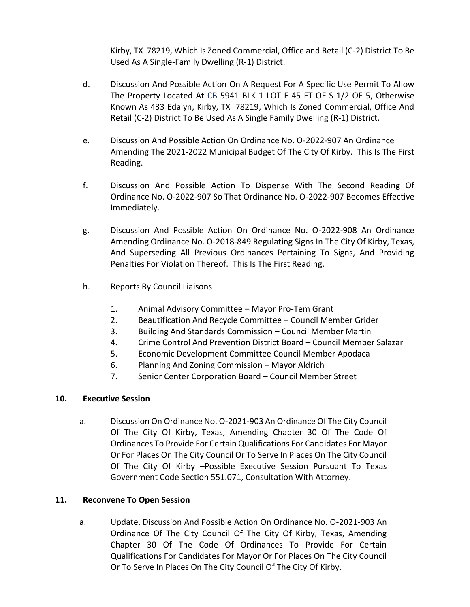Kirby, TX 78219, Which Is Zoned Commercial, Office and Retail (C-2) District To Be Used As A Single-Family Dwelling (R-1) District.

- d. Discussion And Possible Action On A Request For A Specific Use Permit To Allow The Property Located At CB 5941 BLK 1 LOT E 45 FT OF S 1/2 OF 5, Otherwise Known As 433 Edalyn, Kirby, TX 78219, Which Is Zoned Commercial, Office And Retail (C-2) District To Be Used As A Single Family Dwelling (R-1) District.
- e. Discussion And Possible Action On Ordinance No. O-2022-907 An Ordinance Amending The 2021-2022 Municipal Budget Of The City Of Kirby. This Is The First Reading.
- f. Discussion And Possible Action To Dispense With The Second Reading Of Ordinance No. O-2022-907 So That Ordinance No. O-2022-907 Becomes Effective Immediately.
- g. Discussion And Possible Action On Ordinance No. O-2022-908 An Ordinance Amending Ordinance No. O-2018-849 Regulating Signs In The City Of Kirby, Texas, And Superseding All Previous Ordinances Pertaining To Signs, And Providing Penalties For Violation Thereof. This Is The First Reading.
- h. Reports By Council Liaisons
	- 1. Animal Advisory Committee Mayor Pro-Tem Grant
	- 2. Beautification And Recycle Committee Council Member Grider
	- 3. Building And Standards Commission Council Member Martin
	- 4. Crime Control And Prevention District Board Council Member Salazar
	- 5. Economic Development Committee Council Member Apodaca
	- 6. Planning And Zoning Commission Mayor Aldrich
	- 7. Senior Center Corporation Board Council Member Street

### **10. Executive Session**

a. Discussion On Ordinance No. O-2021-903 An Ordinance Of The City Council Of The City Of Kirby, Texas, Amending Chapter 30 Of The Code Of Ordinances To Provide For Certain Qualifications For Candidates For Mayor Or For Places On The City Council Or To Serve In Places On The City Council Of The City Of Kirby –Possible Executive Session Pursuant To Texas Government Code Section 551.071, Consultation With Attorney.

### **11. Reconvene To Open Session**

a. Update, Discussion And Possible Action On Ordinance No. O-2021-903 An Ordinance Of The City Council Of The City Of Kirby, Texas, Amending Chapter 30 Of The Code Of Ordinances To Provide For Certain Qualifications For Candidates For Mayor Or For Places On The City Council Or To Serve In Places On The City Council Of The City Of Kirby.